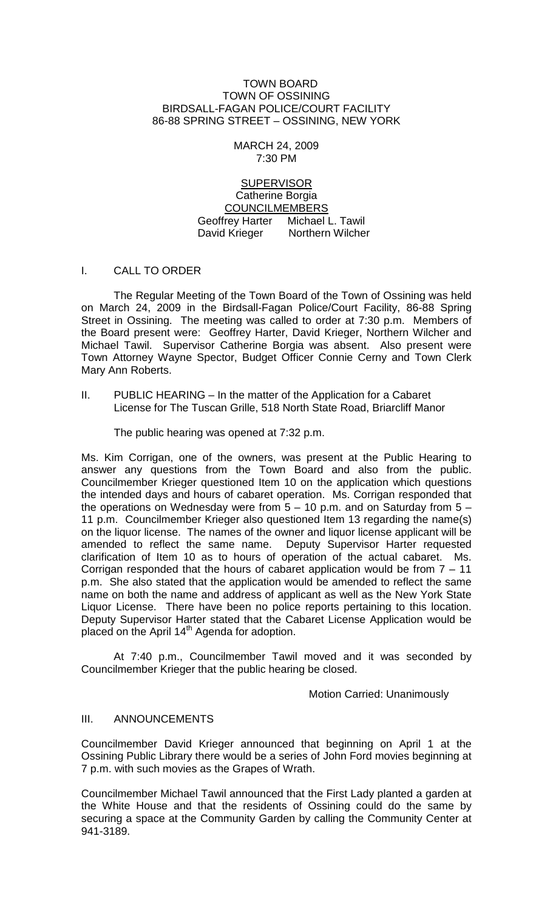#### TOWN BOARD TOWN OF OSSINING BIRDSALL-FAGAN POLICE/COURT FACILITY 86-88 SPRING STREET – OSSINING, NEW YORK

## MARCH 24, 2009 7:30 PM

**SUPERVISOR** Catherine Borgia COUNCILMEMBERS Geoffrey Harter Michael L. Tawil David Krieger Northern Wilcher

# I. CALL TO ORDER

The Regular Meeting of the Town Board of the Town of Ossining was held on March 24, 2009 in the Birdsall-Fagan Police/Court Facility, 86-88 Spring Street in Ossining. The meeting was called to order at 7:30 p.m. Members of the Board present were: Geoffrey Harter, David Krieger, Northern Wilcher and Michael Tawil. Supervisor Catherine Borgia was absent. Also present were Town Attorney Wayne Spector, Budget Officer Connie Cerny and Town Clerk Mary Ann Roberts.

II. PUBLIC HEARING – In the matter of the Application for a Cabaret License for The Tuscan Grille, 518 North State Road, Briarcliff Manor

The public hearing was opened at 7:32 p.m.

Ms. Kim Corrigan, one of the owners, was present at the Public Hearing to answer any questions from the Town Board and also from the public. Councilmember Krieger questioned Item 10 on the application which questions the intended days and hours of cabaret operation. Ms. Corrigan responded that the operations on Wednesday were from  $5 - 10$  p.m. and on Saturday from  $5 -$ 11 p.m. Councilmember Krieger also questioned Item 13 regarding the name(s) on the liquor license. The names of the owner and liquor license applicant will be amended to reflect the same name. Deputy Supervisor Harter requested clarification of Item 10 as to hours of operation of the actual cabaret. Ms. Corrigan responded that the hours of cabaret application would be from  $7 - 11$ p.m. She also stated that the application would be amended to reflect the same name on both the name and address of applicant as well as the New York State Liquor License. There have been no police reports pertaining to this location. Deputy Supervisor Harter stated that the Cabaret License Application would be placed on the April  $14<sup>th</sup>$  Agenda for adoption.

At 7:40 p.m., Councilmember Tawil moved and it was seconded by Councilmember Krieger that the public hearing be closed.

Motion Carried: Unanimously

### III. ANNOUNCEMENTS

Councilmember David Krieger announced that beginning on April 1 at the Ossining Public Library there would be a series of John Ford movies beginning at 7 p.m. with such movies as the Grapes of Wrath.

Councilmember Michael Tawil announced that the First Lady planted a garden at the White House and that the residents of Ossining could do the same by securing a space at the Community Garden by calling the Community Center at 941-3189.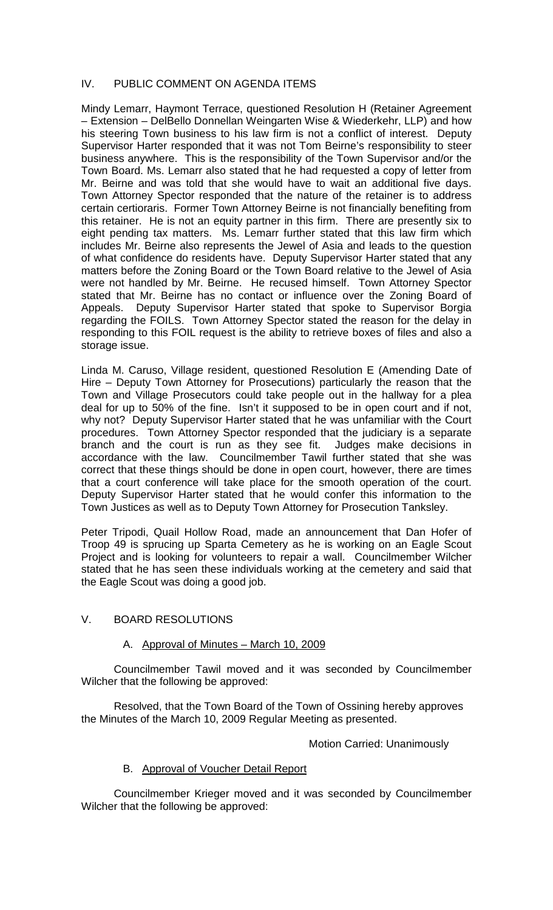# IV. PUBLIC COMMENT ON AGENDA ITEMS

Mindy Lemarr, Haymont Terrace, questioned Resolution H (Retainer Agreement – Extension – DelBello Donnellan Weingarten Wise & Wiederkehr, LLP) and how his steering Town business to his law firm is not a conflict of interest. Deputy Supervisor Harter responded that it was not Tom Beirne's responsibility to steer business anywhere. This is the responsibility of the Town Supervisor and/or the Town Board. Ms. Lemarr also stated that he had requested a copy of letter from Mr. Beirne and was told that she would have to wait an additional five days. Town Attorney Spector responded that the nature of the retainer is to address certain certioraris. Former Town Attorney Beirne is not financially benefiting from this retainer. He is not an equity partner in this firm. There are presently six to eight pending tax matters. Ms. Lemarr further stated that this law firm which includes Mr. Beirne also represents the Jewel of Asia and leads to the question of what confidence do residents have. Deputy Supervisor Harter stated that any matters before the Zoning Board or the Town Board relative to the Jewel of Asia were not handled by Mr. Beirne. He recused himself. Town Attorney Spector stated that Mr. Beirne has no contact or influence over the Zoning Board of Appeals. Deputy Supervisor Harter stated that spoke to Supervisor Borgia regarding the FOILS. Town Attorney Spector stated the reason for the delay in responding to this FOIL request is the ability to retrieve boxes of files and also a storage issue.

Linda M. Caruso, Village resident, questioned Resolution E (Amending Date of Hire – Deputy Town Attorney for Prosecutions) particularly the reason that the Town and Village Prosecutors could take people out in the hallway for a plea deal for up to 50% of the fine. Isn't it supposed to be in open court and if not, why not? Deputy Supervisor Harter stated that he was unfamiliar with the Court procedures. Town Attorney Spector responded that the judiciary is a separate branch and the court is run as they see fit. Judges make decisions in accordance with the law. Councilmember Tawil further stated that she was correct that these things should be done in open court, however, there are times that a court conference will take place for the smooth operation of the court. Deputy Supervisor Harter stated that he would confer this information to the Town Justices as well as to Deputy Town Attorney for Prosecution Tanksley.

Peter Tripodi, Quail Hollow Road, made an announcement that Dan Hofer of Troop 49 is sprucing up Sparta Cemetery as he is working on an Eagle Scout Project and is looking for volunteers to repair a wall. Councilmember Wilcher stated that he has seen these individuals working at the cemetery and said that the Eagle Scout was doing a good job.

# V. BOARD RESOLUTIONS

### A. Approval of Minutes – March 10, 2009

Councilmember Tawil moved and it was seconded by Councilmember Wilcher that the following be approved:

Resolved, that the Town Board of the Town of Ossining hereby approves the Minutes of the March 10, 2009 Regular Meeting as presented.

## Motion Carried: Unanimously

# B. Approval of Voucher Detail Report

Councilmember Krieger moved and it was seconded by Councilmember Wilcher that the following be approved: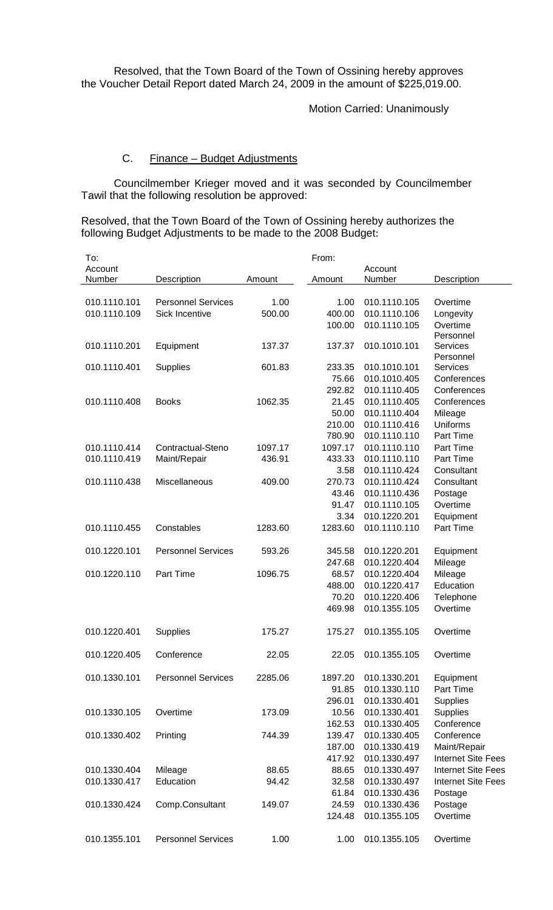Resolved, that the Town Board of the Town of Ossining hereby approves the Voucher Detail Report dated March 24, 2009 in the amount of \$225,019.00.

Motion Carried: Unanimously

#### C. Finance – Budget Adjustments

Councilmember Krieger moved and it was seconded by Councilmember Tawil that the following resolution be approved:

Resolved, that the Town Board of the Town of Ossining hereby authorizes the following Budget Adjustments to be made to the 2008 Budget:

| To:          |                           |         | From:   |              |                           |
|--------------|---------------------------|---------|---------|--------------|---------------------------|
| Account      |                           |         |         | Account      |                           |
| Number       | Description               | Amount  | Amount  | Number       | Description               |
|              |                           |         |         |              |                           |
| 010.1110.101 | <b>Personnel Services</b> | 1.00    | 1.00    | 010.1110.105 | Overtime                  |
| 010.1110.109 | Sick Incentive            | 500.00  | 400.00  | 010.1110.106 | Longevity                 |
|              |                           |         | 100.00  | 010.1110.105 | Overtime                  |
|              |                           |         |         |              | Personnel                 |
| 010.1110.201 | Equipment                 | 137.37  | 137.37  | 010.1010.101 | Services<br>Personnel     |
| 010.1110.401 | <b>Supplies</b>           | 601.83  | 233.35  | 010.1010.101 | Services                  |
|              |                           |         | 75.66   | 010.1010.405 | Conferences               |
|              |                           |         | 292.82  | 010.1110.405 | Conferences               |
| 010.1110.408 | <b>Books</b>              | 1062.35 | 21.45   | 010.1110.405 | Conferences               |
|              |                           |         | 50.00   | 010.1110.404 | Mileage                   |
|              |                           |         | 210.00  | 010.1110.416 | Uniforms                  |
|              |                           |         | 780.90  | 010.1110.110 | Part Time                 |
| 010.1110.414 | Contractual-Steno         | 1097.17 | 1097.17 | 010.1110.110 | Part Time                 |
| 010.1110.419 | Maint/Repair              | 436.91  | 433.33  | 010.1110.110 | Part Time                 |
|              |                           |         | 3.58    | 010.1110.424 | Consultant                |
| 010.1110.438 | Miscellaneous             | 409.00  | 270.73  | 010.1110.424 | Consultant                |
|              |                           |         | 43.46   | 010.1110.436 | Postage                   |
|              |                           |         | 91.47   | 010.1110.105 | Overtime                  |
|              |                           |         | 3.34    | 010.1220.201 | Equipment                 |
| 010.1110.455 | Constables                | 1283.60 | 1283.60 | 010.1110.110 | Part Time                 |
|              |                           |         |         |              |                           |
| 010.1220.101 | <b>Personnel Services</b> | 593.26  | 345.58  | 010.1220.201 | Equipment                 |
|              |                           |         | 247.68  | 010.1220.404 | Mileage                   |
| 010.1220.110 | Part Time                 | 1096.75 | 68.57   | 010.1220.404 | Mileage                   |
|              |                           |         | 488.00  | 010.1220.417 | Education                 |
|              |                           |         | 70.20   | 010.1220.406 | Telephone                 |
|              |                           |         | 469.98  | 010.1355.105 | Overtime                  |
|              |                           |         |         |              |                           |
| 010.1220.401 | <b>Supplies</b>           | 175.27  | 175.27  | 010.1355.105 | Overtime                  |
|              |                           |         |         |              |                           |
| 010.1220.405 | Conference                | 22.05   | 22.05   | 010.1355.105 | Overtime                  |
|              |                           |         |         |              |                           |
| 010.1330.101 | <b>Personnel Services</b> | 2285.06 | 1897.20 | 010.1330.201 | Equipment                 |
|              |                           |         | 91.85   | 010.1330.110 | Part Time                 |
|              |                           |         | 296.01  | 010.1330.401 | Supplies                  |
| 010.1330.105 | Overtime                  | 173.09  | 10.56   | 010.1330.401 | Supplies                  |
|              |                           |         | 162.53  | 010.1330.405 | Conference                |
| 010.1330.402 | Printing                  | 744.39  | 139.47  | 010.1330.405 | Conference                |
|              |                           |         | 187.00  | 010.1330.419 | Maint/Repair              |
|              |                           |         | 417.92  | 010.1330.497 | <b>Internet Site Fees</b> |
| 010.1330.404 | Mileage                   | 88.65   | 88.65   | 010.1330.497 | <b>Internet Site Fees</b> |
| 010.1330.417 | Education                 | 94.42   | 32.58   | 010.1330.497 | <b>Internet Site Fees</b> |
|              |                           |         | 61.84   | 010.1330.436 | Postage                   |
| 010.1330.424 | Comp.Consultant           | 149.07  | 24.59   | 010.1330.436 | Postage                   |
|              |                           |         | 124.48  | 010.1355.105 | Overtime                  |
|              |                           |         |         |              |                           |
| 010.1355.101 | <b>Personnel Services</b> | 1.00    | 1.00    | 010.1355.105 | Overtime                  |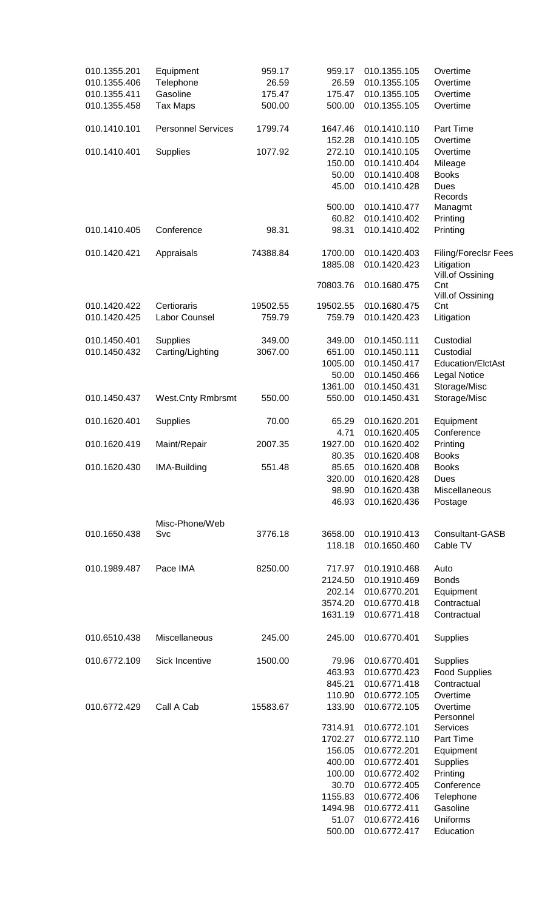| 010.1355.201 | Equipment                 | 959.17   | 959.17   | 010.1355.105 | Overtime                    |
|--------------|---------------------------|----------|----------|--------------|-----------------------------|
| 010.1355.406 | Telephone                 | 26.59    | 26.59    | 010.1355.105 | Overtime                    |
| 010.1355.411 | Gasoline                  | 175.47   | 175.47   | 010.1355.105 | Overtime                    |
| 010.1355.458 | <b>Tax Maps</b>           | 500.00   | 500.00   | 010.1355.105 | Overtime                    |
|              |                           |          |          |              |                             |
| 010.1410.101 | <b>Personnel Services</b> | 1799.74  | 1647.46  | 010.1410.110 | Part Time                   |
|              |                           |          | 152.28   | 010.1410.105 | Overtime                    |
| 010.1410.401 | <b>Supplies</b>           | 1077.92  | 272.10   | 010.1410.105 | Overtime                    |
|              |                           |          | 150.00   | 010.1410.404 | Mileage                     |
|              |                           |          | 50.00    | 010.1410.408 | <b>Books</b>                |
|              |                           |          | 45.00    | 010.1410.428 | Dues                        |
|              |                           |          |          |              | Records                     |
|              |                           |          | 500.00   | 010.1410.477 | Managmt                     |
|              |                           |          | 60.82    | 010.1410.402 | Printing                    |
| 010.1410.405 | Conference                | 98.31    | 98.31    | 010.1410.402 | Printing                    |
|              |                           |          |          |              |                             |
| 010.1420.421 | Appraisals                | 74388.84 | 1700.00  | 010.1420.403 | <b>Filing/Foreclsr Fees</b> |
|              |                           |          | 1885.08  | 010.1420.423 | Litigation                  |
|              |                           |          |          |              | Vill.of Ossining            |
|              |                           |          | 70803.76 | 010.1680.475 | Cnt                         |
|              |                           |          |          |              | Vill.of Ossining            |
| 010.1420.422 | Certioraris               | 19502.55 | 19502.55 | 010.1680.475 | Cnt                         |
| 010.1420.425 | Labor Counsel             | 759.79   | 759.79   | 010.1420.423 | Litigation                  |
|              |                           |          |          |              |                             |
| 010.1450.401 | <b>Supplies</b>           | 349.00   | 349.00   | 010.1450.111 | Custodial                   |
|              |                           |          |          |              |                             |
| 010.1450.432 | Carting/Lighting          | 3067.00  | 651.00   | 010.1450.111 | Custodial                   |
|              |                           |          | 1005.00  | 010.1450.417 | Education/ElctAst           |
|              |                           |          | 50.00    | 010.1450.466 | <b>Legal Notice</b>         |
|              |                           |          | 1361.00  | 010.1450.431 | Storage/Misc                |
| 010.1450.437 | <b>West.Cnty Rmbrsmt</b>  | 550.00   | 550.00   | 010.1450.431 | Storage/Misc                |
| 010.1620.401 | Supplies                  | 70.00    | 65.29    | 010.1620.201 | Equipment                   |
|              |                           |          | 4.71     | 010.1620.405 | Conference                  |
| 010.1620.419 |                           | 2007.35  | 1927.00  | 010.1620.402 | Printing                    |
|              | Maint/Repair              |          |          |              |                             |
|              |                           |          | 80.35    | 010.1620.408 | <b>Books</b>                |
| 010.1620.430 | IMA-Building              | 551.48   | 85.65    | 010.1620.408 | Books                       |
|              |                           |          | 320.00   | 010.1620.428 | Dues                        |
|              |                           |          | 98.90    | 010.1620.438 | Miscellaneous               |
|              |                           |          | 46.93    | 010.1620.436 | Postage                     |
|              | Misc-Phone/Web            |          |          |              |                             |
| 010.1650.438 | Svc                       | 3776.18  | 3658.00  | 010.1910.413 | Consultant-GASB             |
|              |                           |          | 118.18   | 010.1650.460 | Cable TV                    |
|              |                           |          |          |              |                             |
| 010.1989.487 | Pace IMA                  | 8250.00  | 717.97   | 010.1910.468 | Auto                        |
|              |                           |          | 2124.50  | 010.1910.469 | <b>Bonds</b>                |
|              |                           |          | 202.14   | 010.6770.201 | Equipment                   |
|              |                           |          | 3574.20  | 010.6770.418 | Contractual                 |
|              |                           |          | 1631.19  | 010.6771.418 | Contractual                 |
|              |                           |          |          |              |                             |
| 010.6510.438 | Miscellaneous             | 245.00   | 245.00   | 010.6770.401 | Supplies                    |
|              |                           |          |          |              |                             |
| 010.6772.109 | Sick Incentive            | 1500.00  | 79.96    | 010.6770.401 | Supplies                    |
|              |                           |          | 463.93   | 010.6770.423 | <b>Food Supplies</b>        |
|              |                           |          | 845.21   | 010.6771.418 | Contractual                 |
|              |                           |          | 110.90   | 010.6772.105 | Overtime                    |
| 010.6772.429 | Call A Cab                | 15583.67 | 133.90   | 010.6772.105 | Overtime                    |
|              |                           |          |          |              | Personnel                   |
|              |                           |          | 7314.91  | 010.6772.101 | <b>Services</b>             |
|              |                           |          | 1702.27  | 010.6772.110 | Part Time                   |
|              |                           |          |          |              |                             |
|              |                           |          | 156.05   | 010.6772.201 | Equipment                   |
|              |                           |          | 400.00   | 010.6772.401 | <b>Supplies</b>             |
|              |                           |          | 100.00   | 010.6772.402 | Printing                    |
|              |                           |          | 30.70    | 010.6772.405 | Conference                  |
|              |                           |          | 1155.83  | 010.6772.406 | Telephone                   |
|              |                           |          | 1494.98  | 010.6772.411 | Gasoline                    |
|              |                           |          | 51.07    | 010.6772.416 | Uniforms                    |
|              |                           |          | 500.00   | 010.6772.417 | Education                   |
|              |                           |          |          |              |                             |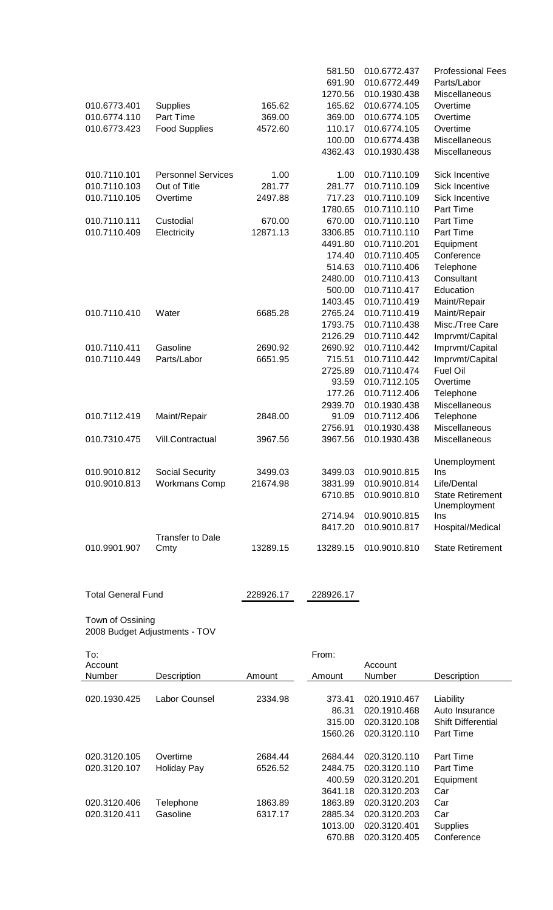|                           |                               |           | 581.50    | 010.6772.437 | <b>Professional Fees</b>  |
|---------------------------|-------------------------------|-----------|-----------|--------------|---------------------------|
|                           |                               |           | 691.90    | 010.6772.449 | Parts/Labor               |
|                           |                               |           | 1270.56   | 010.1930.438 | Miscellaneous             |
| 010.6773.401              | Supplies                      | 165.62    | 165.62    | 010.6774.105 | Overtime                  |
| 010.6774.110              | Part Time                     | 369.00    | 369.00    | 010.6774.105 | Overtime                  |
| 010.6773.423              | <b>Food Supplies</b>          | 4572.60   | 110.17    | 010.6774.105 | Overtime                  |
|                           |                               |           | 100.00    | 010.6774.438 | Miscellaneous             |
|                           |                               |           | 4362.43   | 010.1930.438 | Miscellaneous             |
|                           |                               |           |           |              |                           |
| 010.7110.101              | <b>Personnel Services</b>     | 1.00      | 1.00      | 010.7110.109 | Sick Incentive            |
| 010.7110.103              | Out of Title                  | 281.77    | 281.77    | 010.7110.109 | <b>Sick Incentive</b>     |
| 010.7110.105              | Overtime                      | 2497.88   | 717.23    | 010.7110.109 | Sick Incentive            |
|                           |                               |           | 1780.65   | 010.7110.110 | Part Time                 |
| 010.7110.111              | Custodial                     | 670.00    | 670.00    | 010.7110.110 | Part Time                 |
| 010.7110.409              | Electricity                   | 12871.13  | 3306.85   | 010.7110.110 | Part Time                 |
|                           |                               |           | 4491.80   | 010.7110.201 | Equipment                 |
|                           |                               |           | 174.40    | 010.7110.405 | Conference                |
|                           |                               |           | 514.63    | 010.7110.406 | Telephone                 |
|                           |                               |           | 2480.00   | 010.7110.413 | Consultant                |
|                           |                               |           | 500.00    | 010.7110.417 | Education                 |
|                           |                               |           | 1403.45   | 010.7110.419 | Maint/Repair              |
| 010.7110.410              | Water                         | 6685.28   | 2765.24   | 010.7110.419 | Maint/Repair              |
|                           |                               |           | 1793.75   | 010.7110.438 | Misc./Tree Care           |
|                           |                               |           | 2126.29   | 010.7110.442 |                           |
| 010.7110.411              | Gasoline                      | 2690.92   | 2690.92   | 010.7110.442 | Imprvmt/Capital           |
|                           |                               |           |           |              | Imprvmt/Capital           |
| 010.7110.449              | Parts/Labor                   | 6651.95   | 715.51    | 010.7110.442 | Imprvmt/Capital           |
|                           |                               |           | 2725.89   | 010.7110.474 | <b>Fuel Oil</b>           |
|                           |                               |           | 93.59     | 010.7112.105 | Overtime                  |
|                           |                               |           | 177.26    | 010.7112.406 | Telephone                 |
|                           |                               |           | 2939.70   | 010.1930.438 | Miscellaneous             |
| 010.7112.419              | Maint/Repair                  | 2848.00   | 91.09     | 010.7112.406 | Telephone                 |
|                           |                               |           | 2756.91   | 010.1930.438 | Miscellaneous             |
| 010.7310.475              | <b>Vill.Contractual</b>       | 3967.56   | 3967.56   | 010.1930.438 | Miscellaneous             |
|                           |                               |           |           |              |                           |
|                           |                               |           |           |              | Unemployment              |
| 010.9010.812              | Social Security               | 3499.03   | 3499.03   | 010.9010.815 | Ins                       |
| 010.9010.813              | <b>Workmans Comp</b>          | 21674.98  | 3831.99   | 010.9010.814 | Life/Dental               |
|                           |                               |           | 6710.85   | 010.9010.810 | <b>State Retirement</b>   |
|                           |                               |           | 2714.94   | 010.9010.815 | Unemployment              |
|                           |                               |           |           |              | Ins                       |
|                           | <b>Transfer to Dale</b>       |           | 8417.20   | 010.9010.817 | Hospital/Medical          |
| 010.9901.907              | Cmty                          | 13289.15  | 13289.15  | 010.9010.810 | <b>State Retirement</b>   |
|                           |                               |           |           |              |                           |
|                           |                               |           |           |              |                           |
|                           |                               |           |           |              |                           |
| <b>Total General Fund</b> |                               |           |           |              |                           |
|                           |                               | 228926.17 | 228926.17 |              |                           |
|                           |                               |           |           |              |                           |
| Town of Ossining          |                               |           |           |              |                           |
|                           | 2008 Budget Adjustments - TOV |           |           |              |                           |
|                           |                               |           |           |              |                           |
| To:                       |                               |           | From:     |              |                           |
| Account                   |                               |           |           | Account      |                           |
| Number                    | Description                   | Amount    | Amount    | Number       | Description               |
|                           |                               |           |           |              |                           |
| 020.1930.425              | Labor Counsel                 | 2334.98   | 373.41    | 020.1910.467 | Liability                 |
|                           |                               |           | 86.31     | 020.1910.468 | Auto Insurance            |
|                           |                               |           | 315.00    | 020.3120.108 | <b>Shift Differential</b> |
|                           |                               |           | 1560.26   | 020.3120.110 | Part Time                 |

1560.26 020.3120.110 Part Time 020.3120.105 Overtime 2684.44 2684.44 020.3120.110 Part Time<br>020.3120.107 Holiday Pay 6526.52 2484.75 020.3120.110 Part Time 2484.75 020.3120.110 Part Time<br>400.59 020.3120.201 Equipment 400.59 020.3120.201 3641.18 020.3120.203 Car 020.3120.406 Telephone 1863.89 1863.89 020.3120.203 Car<br>020.3120.411 Gasoline 6317.17 2885.34 020.3120.203 Car 2885.34 020.3120.203 Car<br>1013.00 020.3120.401 Supplies 1013.00 020.3120.401 670.88 020.3120.405 Conference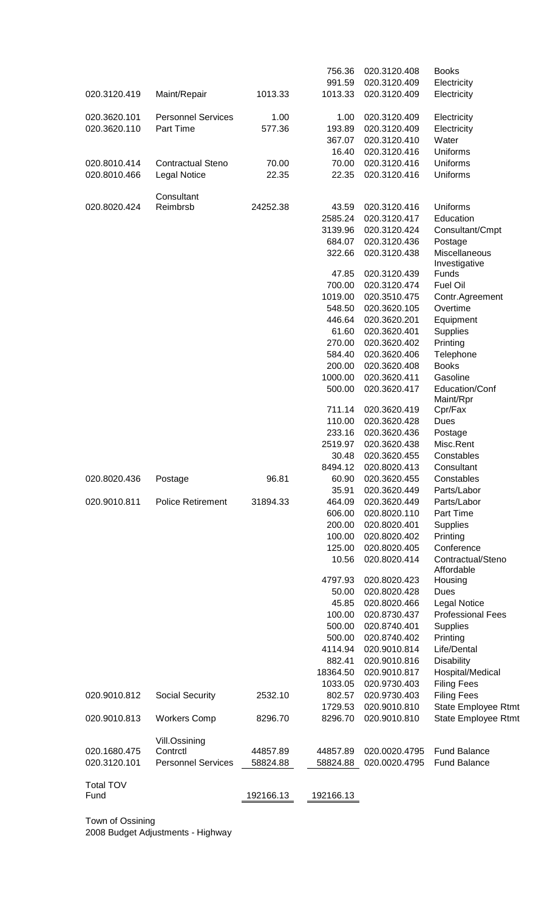|                  |                           |           | 756.36    | 020.3120.408  | <b>Books</b>                   |
|------------------|---------------------------|-----------|-----------|---------------|--------------------------------|
|                  |                           |           | 991.59    | 020.3120.409  | Electricity                    |
| 020.3120.419     | Maint/Repair              | 1013.33   | 1013.33   | 020.3120.409  | Electricity                    |
| 020.3620.101     | <b>Personnel Services</b> | 1.00      | 1.00      | 020.3120.409  | Electricity                    |
| 020.3620.110     | Part Time                 | 577.36    | 193.89    | 020.3120.409  | Electricity                    |
|                  |                           |           | 367.07    | 020.3120.410  | Water                          |
|                  |                           |           | 16.40     | 020.3120.416  | Uniforms                       |
| 020.8010.414     | <b>Contractual Steno</b>  | 70.00     | 70.00     | 020.3120.416  | Uniforms                       |
| 020.8010.466     | <b>Legal Notice</b>       | 22.35     | 22.35     | 020.3120.416  | Uniforms                       |
|                  | Consultant                |           |           |               |                                |
| 020.8020.424     | Reimbrsb                  | 24252.38  | 43.59     | 020.3120.416  | Uniforms                       |
|                  |                           |           | 2585.24   | 020.3120.417  | Education                      |
|                  |                           |           | 3139.96   | 020.3120.424  | Consultant/Cmpt                |
|                  |                           |           | 684.07    | 020.3120.436  | Postage                        |
|                  |                           |           | 322.66    | 020.3120.438  | Miscellaneous<br>Investigative |
|                  |                           |           | 47.85     | 020.3120.439  | <b>Funds</b>                   |
|                  |                           |           | 700.00    | 020.3120.474  | <b>Fuel Oil</b>                |
|                  |                           |           | 1019.00   | 020.3510.475  | Contr.Agreement                |
|                  |                           |           | 548.50    | 020.3620.105  | Overtime                       |
|                  |                           |           | 446.64    | 020.3620.201  | Equipment                      |
|                  |                           |           | 61.60     | 020.3620.401  | Supplies                       |
|                  |                           |           | 270.00    | 020.3620.402  | Printing                       |
|                  |                           |           | 584.40    | 020.3620.406  | Telephone                      |
|                  |                           |           | 200.00    | 020.3620.408  | <b>Books</b>                   |
|                  |                           |           | 1000.00   | 020.3620.411  | Gasoline                       |
|                  |                           |           | 500.00    | 020.3620.417  | Education/Conf                 |
|                  |                           |           | 711.14    | 020.3620.419  | Maint/Rpr<br>Cpr/Fax           |
|                  |                           |           | 110.00    | 020.3620.428  | Dues                           |
|                  |                           |           | 233.16    | 020.3620.436  | Postage                        |
|                  |                           |           | 2519.97   | 020.3620.438  | Misc.Rent                      |
|                  |                           |           | 30.48     | 020.3620.455  | Constables                     |
|                  |                           |           | 8494.12   | 020.8020.413  | Consultant                     |
| 020.8020.436     | Postage                   | 96.81     | 60.90     | 020.3620.455  | Constables                     |
|                  |                           |           | 35.91     | 020.3620.449  | Parts/Labor                    |
| 020.9010.811     | <b>Police Retirement</b>  | 31894.33  | 464.09    | 020.3620.449  | Parts/Labor                    |
|                  |                           |           | 606.00    | 020.8020.110  | Part Time                      |
|                  |                           |           | 200.00    | 020.8020.401  | Supplies                       |
|                  |                           |           | 100.00    | 020.8020.402  | Printing                       |
|                  |                           |           | 125.00    | 020.8020.405  | Conference                     |
|                  |                           |           | 10.56     | 020.8020.414  | Contractual/Steno              |
|                  |                           |           |           |               | Affordable                     |
|                  |                           |           | 4797.93   | 020.8020.423  | Housing                        |
|                  |                           |           | 50.00     | 020.8020.428  | Dues                           |
|                  |                           |           | 45.85     | 020.8020.466  | <b>Legal Notice</b>            |
|                  |                           |           | 100.00    | 020.8730.437  | <b>Professional Fees</b>       |
|                  |                           |           | 500.00    | 020.8740.401  | <b>Supplies</b>                |
|                  |                           |           | 500.00    | 020.8740.402  | Printing                       |
|                  |                           |           | 4114.94   | 020.9010.814  | Life/Dental                    |
|                  |                           |           | 882.41    | 020.9010.816  | <b>Disability</b>              |
|                  |                           |           | 18364.50  | 020.9010.817  | Hospital/Medical               |
|                  |                           |           | 1033.05   | 020.9730.403  | <b>Filing Fees</b>             |
| 020.9010.812     | Social Security           | 2532.10   | 802.57    | 020.9730.403  | <b>Filing Fees</b>             |
|                  |                           |           | 1729.53   | 020.9010.810  | <b>State Employee Rtmt</b>     |
| 020.9010.813     | <b>Workers Comp</b>       | 8296.70   | 8296.70   | 020.9010.810  | State Employee Rtmt            |
|                  | Vill.Ossining             |           |           |               |                                |
| 020.1680.475     | Contrctl                  | 44857.89  | 44857.89  | 020.0020.4795 | <b>Fund Balance</b>            |
| 020.3120.101     | <b>Personnel Services</b> | 58824.88  | 58824.88  | 020.0020.4795 | <b>Fund Balance</b>            |
| <b>Total TOV</b> |                           |           |           |               |                                |
| Fund             |                           | 192166.13 | 192166.13 |               |                                |
|                  |                           |           |           |               |                                |

Town of Ossining 2008 Budget Adjustments - Highway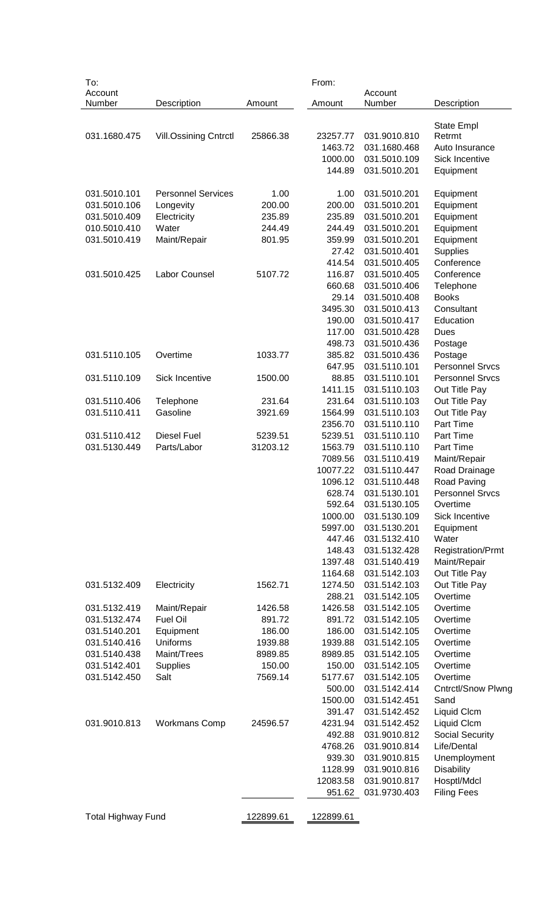| To:                       |                              |           | From:     |              |                           |
|---------------------------|------------------------------|-----------|-----------|--------------|---------------------------|
| Account                   |                              |           |           | Account      |                           |
| Number                    | Description                  | Amount    | Amount    | Number       | Description               |
|                           |                              |           |           |              |                           |
| 031.1680.475              | <b>Vill.Ossining Cntrctl</b> | 25866.38  | 23257.77  | 031.9010.810 | State Empl<br>Retrmt      |
|                           |                              |           | 1463.72   | 031.1680.468 | Auto Insurance            |
|                           |                              |           | 1000.00   | 031.5010.109 | Sick Incentive            |
|                           |                              |           | 144.89    | 031.5010.201 |                           |
|                           |                              |           |           |              | Equipment                 |
| 031.5010.101              | <b>Personnel Services</b>    | 1.00      | 1.00      | 031.5010.201 |                           |
| 031.5010.106              |                              | 200.00    | 200.00    | 031.5010.201 | Equipment                 |
|                           | Longevity                    |           |           |              | Equipment                 |
| 031.5010.409              | Electricity                  | 235.89    | 235.89    | 031.5010.201 | Equipment                 |
| 010.5010.410              | Water                        | 244.49    | 244.49    | 031.5010.201 | Equipment                 |
| 031.5010.419              | Maint/Repair                 | 801.95    | 359.99    | 031.5010.201 | Equipment                 |
|                           |                              |           | 27.42     | 031.5010.401 | Supplies                  |
|                           |                              |           | 414.54    | 031.5010.405 | Conference                |
| 031.5010.425              | <b>Labor Counsel</b>         | 5107.72   | 116.87    | 031.5010.405 | Conference                |
|                           |                              |           | 660.68    | 031.5010.406 | Telephone                 |
|                           |                              |           | 29.14     | 031.5010.408 | <b>Books</b>              |
|                           |                              |           | 3495.30   | 031.5010.413 | Consultant                |
|                           |                              |           | 190.00    | 031.5010.417 | Education                 |
|                           |                              |           | 117.00    | 031.5010.428 | Dues                      |
|                           |                              |           | 498.73    | 031.5010.436 | Postage                   |
| 031.5110.105              | Overtime                     | 1033.77   | 385.82    | 031.5010.436 | Postage                   |
|                           |                              |           | 647.95    | 031.5110.101 | <b>Personnel Srvcs</b>    |
| 031.5110.109              | Sick Incentive               | 1500.00   | 88.85     | 031.5110.101 | <b>Personnel Srvcs</b>    |
|                           |                              |           | 1411.15   | 031.5110.103 | Out Title Pay             |
| 031.5110.406              | Telephone                    | 231.64    | 231.64    | 031.5110.103 | Out Title Pay             |
| 031.5110.411              | Gasoline                     | 3921.69   | 1564.99   | 031.5110.103 | Out Title Pay             |
|                           |                              |           | 2356.70   | 031.5110.110 | Part Time                 |
| 031.5110.412              | <b>Diesel Fuel</b>           | 5239.51   | 5239.51   | 031.5110.110 | Part Time                 |
| 031.5130.449              | Parts/Labor                  | 31203.12  | 1563.79   | 031.5110.110 | Part Time                 |
|                           |                              |           |           | 031.5110.419 |                           |
|                           |                              |           | 7089.56   |              | Maint/Repair              |
|                           |                              |           | 10077.22  | 031.5110.447 | Road Drainage             |
|                           |                              |           | 1096.12   | 031.5110.448 | Road Paving               |
|                           |                              |           | 628.74    | 031.5130.101 | <b>Personnel Srvcs</b>    |
|                           |                              |           | 592.64    | 031.5130.105 | Overtime                  |
|                           |                              |           | 1000.00   | 031.5130.109 | Sick Incentive            |
|                           |                              |           | 5997.00   | 031.5130.201 | Equipment                 |
|                           |                              |           | 447.46    | 031.5132.410 | Water                     |
|                           |                              |           | 148.43    | 031.5132.428 | <b>Registration/Prmt</b>  |
|                           |                              |           | 1397.48   | 031.5140.419 | Maint/Repair              |
|                           |                              |           | 1164.68   | 031.5142.103 | Out Title Pay             |
| 031.5132.409              | Electricity                  | 1562.71   | 1274.50   | 031.5142.103 | Out Title Pay             |
|                           |                              |           | 288.21    | 031.5142.105 | Overtime                  |
| 031.5132.419              | Maint/Repair                 | 1426.58   | 1426.58   | 031.5142.105 | Overtime                  |
| 031.5132.474              | Fuel Oil                     | 891.72    | 891.72    | 031.5142.105 | Overtime                  |
| 031.5140.201              | Equipment                    | 186.00    | 186.00    | 031.5142.105 | Overtime                  |
| 031.5140.416              | Uniforms                     | 1939.88   | 1939.88   | 031.5142.105 | Overtime                  |
| 031.5140.438              | Maint/Trees                  | 8989.85   | 8989.85   | 031.5142.105 | Overtime                  |
| 031.5142.401              | Supplies                     | 150.00    | 150.00    | 031.5142.105 | Overtime                  |
| 031.5142.450              | Salt                         | 7569.14   | 5177.67   | 031.5142.105 | Overtime                  |
|                           |                              |           | 500.00    | 031.5142.414 | <b>Cntrctl/Snow Plwng</b> |
|                           |                              |           |           |              |                           |
|                           |                              |           | 1500.00   | 031.5142.451 | Sand                      |
|                           |                              |           | 391.47    | 031.5142.452 | Liquid Clcm               |
| 031.9010.813              | <b>Workmans Comp</b>         | 24596.57  | 4231.94   | 031.5142.452 | Liquid Clcm               |
|                           |                              |           | 492.88    | 031.9010.812 | <b>Social Security</b>    |
|                           |                              |           | 4768.26   | 031.9010.814 | Life/Dental               |
|                           |                              |           | 939.30    | 031.9010.815 | Unemployment              |
|                           |                              |           | 1128.99   | 031.9010.816 | <b>Disability</b>         |
|                           |                              |           | 12083.58  | 031.9010.817 | Hosptl/Mdcl               |
|                           |                              |           | 951.62    | 031.9730.403 | <b>Filing Fees</b>        |
|                           |                              |           |           |              |                           |
| <b>Total Highway Fund</b> |                              | 122899.61 | 122899.61 |              |                           |
|                           |                              |           |           |              |                           |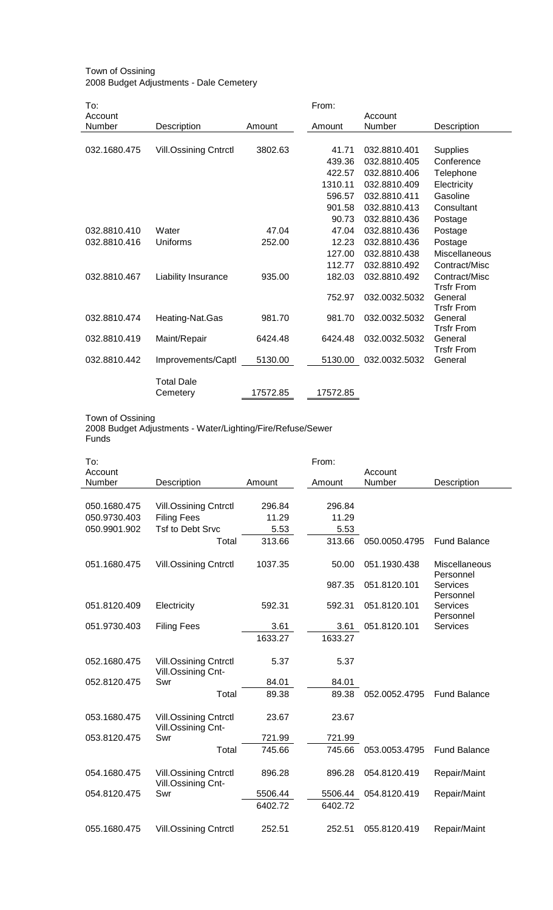### Town of Ossining 2008 Budget Adjustments - Dale Cemetery

| To:          |                              |          | From:    |               |                              |
|--------------|------------------------------|----------|----------|---------------|------------------------------|
| Account      |                              |          |          | Account       |                              |
| Number       | Description                  | Amount   | Amount   | Number        | Description                  |
|              |                              |          |          |               |                              |
| 032.1680.475 | <b>Vill.Ossining Cntrctl</b> | 3802.63  | 41.71    | 032.8810.401  | <b>Supplies</b>              |
|              |                              |          | 439.36   | 032.8810.405  | Conference                   |
|              |                              |          | 422.57   | 032.8810.406  | Telephone                    |
|              |                              |          | 1310.11  | 032.8810.409  | Electricity                  |
|              |                              |          | 596.57   | 032.8810.411  | Gasoline                     |
|              |                              |          | 901.58   | 032.8810.413  | Consultant                   |
|              |                              |          | 90.73    | 032.8810.436  | Postage                      |
| 032.8810.410 | Water                        | 47.04    | 47.04    | 032.8810.436  | Postage                      |
| 032.8810.416 | Uniforms                     | 252.00   | 12.23    | 032.8810.436  | Postage                      |
|              |                              |          | 127.00   | 032.8810.438  | Miscellaneous                |
|              |                              |          | 112.77   | 032.8810.492  | Contract/Misc                |
| 032.8810.467 | Liability Insurance          | 935.00   | 182.03   | 032.8810.492  | Contract/Misc                |
|              |                              |          |          |               | <b>Trsfr From</b>            |
|              |                              |          | 752.97   | 032.0032.5032 | General                      |
|              |                              |          |          |               | <b>Trsfr From</b>            |
| 032.8810.474 | Heating-Nat.Gas              | 981.70   | 981.70   | 032.0032.5032 | General                      |
| 032.8810.419 | Maint/Repair                 | 6424.48  | 6424.48  | 032.0032.5032 | <b>Trsfr From</b><br>General |
|              |                              |          |          |               | <b>Trsfr From</b>            |
| 032.8810.442 | Improvements/Captl           | 5130.00  | 5130.00  | 032.0032.5032 | General                      |
|              |                              |          |          |               |                              |
|              | <b>Total Dale</b>            |          |          |               |                              |
|              | Cemetery                     | 17572.85 | 17572.85 |               |                              |

Town of Ossining 2008 Budget Adjustments - Water/Lighting/Fire/Refuse/Sewer Funds

| To:<br>Account |                                                    |         | From:   | Account       |                              |
|----------------|----------------------------------------------------|---------|---------|---------------|------------------------------|
| Number         | Description                                        | Amount  | Amount  | Number        | Description                  |
|                |                                                    |         |         |               |                              |
| 050.1680.475   | <b>Vill.Ossining Cntrctl</b>                       | 296.84  | 296.84  |               |                              |
| 050.9730.403   | <b>Filing Fees</b>                                 | 11.29   | 11.29   |               |                              |
| 050.9901.902   | <b>Tsf to Debt Srvc</b>                            | 5.53    | 5.53    |               |                              |
|                | Total                                              | 313.66  | 313.66  | 050.0050.4795 | <b>Fund Balance</b>          |
| 051.1680.475   | <b>Vill.Ossining Cntrctl</b>                       | 1037.35 | 50.00   | 051.1930.438  | Miscellaneous<br>Personnel   |
|                |                                                    |         | 987.35  | 051.8120.101  | <b>Services</b><br>Personnel |
| 051.8120.409   | Electricity                                        | 592.31  | 592.31  | 051.8120.101  | Services<br>Personnel        |
| 051.9730.403   | <b>Filing Fees</b>                                 | 3.61    | 3.61    | 051.8120.101  | <b>Services</b>              |
|                |                                                    | 1633.27 | 1633.27 |               |                              |
|                |                                                    |         |         |               |                              |
| 052.1680.475   | <b>Vill.Ossining Cntrctl</b><br>Vill.Ossining Cnt- | 5.37    | 5.37    |               |                              |
| 052.8120.475   | Swr                                                | 84.01   | 84.01   |               |                              |
|                | Total                                              | 89.38   | 89.38   | 052.0052.4795 | <b>Fund Balance</b>          |
| 053.1680.475   | <b>Vill.Ossining Cntrctl</b><br>Vill.Ossining Cnt- | 23.67   | 23.67   |               |                              |
| 053.8120.475   | Swr                                                | 721.99  | 721.99  |               |                              |
|                | Total                                              | 745.66  | 745.66  | 053.0053.4795 | <b>Fund Balance</b>          |
| 054.1680.475   | <b>Vill.Ossining Cntrctl</b><br>Vill.Ossining Cnt- | 896.28  | 896.28  | 054.8120.419  | Repair/Maint                 |
| 054.8120.475   | Swr                                                | 5506.44 | 5506.44 | 054.8120.419  | Repair/Maint                 |
|                |                                                    | 6402.72 | 6402.72 |               |                              |
| 055.1680.475   | <b>Vill.Ossining Cntrctl</b>                       | 252.51  | 252.51  | 055.8120.419  | Repair/Maint                 |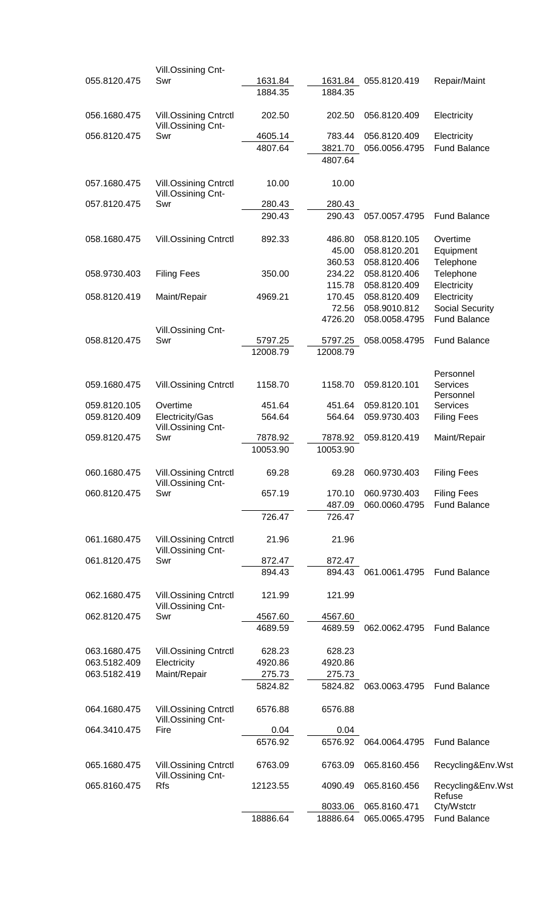|              | Vill.Ossining Cnt-                                 |                 |                 |               |                        |
|--------------|----------------------------------------------------|-----------------|-----------------|---------------|------------------------|
| 055.8120.475 | Swr                                                | 1631.84         | 1631.84         | 055.8120.419  | Repair/Maint           |
|              |                                                    | 1884.35         | 1884.35         |               |                        |
| 056.1680.475 | <b>Vill.Ossining Cntrctl</b><br>Vill.Ossining Cnt- | 202.50          | 202.50          | 056.8120.409  | Electricity            |
| 056.8120.475 | Swr                                                | 4605.14         | 783.44          | 056.8120.409  | Electricity            |
|              |                                                    | 4807.64         | 3821.70         | 056.0056.4795 | <b>Fund Balance</b>    |
|              |                                                    |                 | 4807.64         |               |                        |
| 057.1680.475 | <b>Vill.Ossining Cntrctl</b>                       | 10.00           | 10.00           |               |                        |
|              | Vill.Ossining Cnt-                                 |                 |                 |               |                        |
| 057.8120.475 | Swr                                                | 280.43          | 280.43          |               |                        |
|              |                                                    | 290.43          | 290.43          | 057.0057.4795 | <b>Fund Balance</b>    |
| 058.1680.475 | <b>Vill.Ossining Cntrctl</b>                       | 892.33          | 486.80          | 058.8120.105  | Overtime               |
|              |                                                    |                 | 45.00           | 058.8120.201  | Equipment              |
|              |                                                    |                 | 360.53          | 058.8120.406  | Telephone              |
| 058.9730.403 | <b>Filing Fees</b>                                 | 350.00          | 234.22          | 058.8120.406  | Telephone              |
|              |                                                    |                 | 115.78          | 058.8120.409  | Electricity            |
| 058.8120.419 | Maint/Repair                                       | 4969.21         | 170.45          | 058.8120.409  | Electricity            |
|              |                                                    |                 | 72.56           | 058.9010.812  | <b>Social Security</b> |
|              |                                                    |                 | 4726.20         | 058.0058.4795 | <b>Fund Balance</b>    |
|              | Vill.Ossining Cnt-                                 |                 |                 |               |                        |
| 058.8120.475 | Swr                                                | 5797.25         | 5797.25         | 058.0058.4795 | <b>Fund Balance</b>    |
|              |                                                    | 12008.79        | 12008.79        |               |                        |
|              |                                                    |                 |                 |               |                        |
| 059.1680.475 | <b>Vill.Ossining Cntrctl</b>                       | 1158.70         | 1158.70         | 059.8120.101  | Personnel<br>Services  |
|              |                                                    |                 |                 |               | Personnel              |
| 059.8120.105 | Overtime                                           | 451.64          | 451.64          | 059.8120.101  | Services               |
| 059.8120.409 | Electricity/Gas<br>Vill.Ossining Cnt-              | 564.64          | 564.64          | 059.9730.403  | <b>Filing Fees</b>     |
| 059.8120.475 | Swr                                                | 7878.92         | 7878.92         | 059.8120.419  | Maint/Repair           |
|              |                                                    | 10053.90        | 10053.90        |               |                        |
|              |                                                    |                 |                 |               |                        |
| 060.1680.475 | <b>Vill.Ossining Cntrctl</b><br>Vill.Ossining Cnt- | 69.28           | 69.28           | 060.9730.403  | <b>Filing Fees</b>     |
| 060.8120.475 | Swr                                                | 657.19          | 170.10          | 060.9730.403  | <b>Filing Fees</b>     |
|              |                                                    |                 | 487.09          | 060.0060.4795 | <b>Fund Balance</b>    |
|              |                                                    | 726.47          | 726.47          |               |                        |
| 061.1680.475 | <b>Vill.Ossining Cntrctl</b>                       | 21.96           | 21.96           |               |                        |
|              | Vill.Ossining Cnt-                                 |                 |                 |               |                        |
| 061.8120.475 | Swr                                                | 872.47          | 872.47          |               |                        |
|              |                                                    | 894.43          | 894.43          | 061.0061.4795 | <b>Fund Balance</b>    |
| 062.1680.475 | <b>Vill.Ossining Cntrctl</b>                       | 121.99          | 121.99          |               |                        |
|              | Vill.Ossining Cnt-                                 |                 |                 |               |                        |
| 062.8120.475 | Swr                                                | 4567.60         | 4567.60         |               |                        |
|              |                                                    | 4689.59         | 4689.59         | 062.0062.4795 | <b>Fund Balance</b>    |
| 063.1680.475 | <b>Vill.Ossining Cntrctl</b>                       | 628.23          | 628.23          |               |                        |
| 063.5182.409 | Electricity                                        | 4920.86         | 4920.86         |               |                        |
| 063.5182.419 | Maint/Repair                                       | 275.73          | 275.73          |               |                        |
|              |                                                    | 5824.82         | 5824.82         | 063.0063.4795 | <b>Fund Balance</b>    |
|              |                                                    |                 |                 |               |                        |
| 064.1680.475 | <b>Vill.Ossining Cntrctl</b>                       | 6576.88         | 6576.88         |               |                        |
|              | Vill.Ossining Cnt-                                 |                 |                 |               |                        |
| 064.3410.475 | Fire                                               | 0.04<br>6576.92 | 0.04<br>6576.92 | 064.0064.4795 | <b>Fund Balance</b>    |
|              |                                                    |                 |                 |               |                        |
| 065.1680.475 | <b>Vill.Ossining Cntrctl</b><br>Vill.Ossining Cnt- | 6763.09         | 6763.09         | 065.8160.456  | Recycling&Env.Wst      |
| 065.8160.475 | <b>Rfs</b>                                         | 12123.55        | 4090.49         | 065.8160.456  | Recycling&Env.Wst      |
|              |                                                    |                 |                 |               | Refuse                 |
|              |                                                    |                 | 8033.06         | 065.8160.471  | Cty/Wstctr             |
|              |                                                    | 18886.64        | 18886.64        | 065.0065.4795 | <b>Fund Balance</b>    |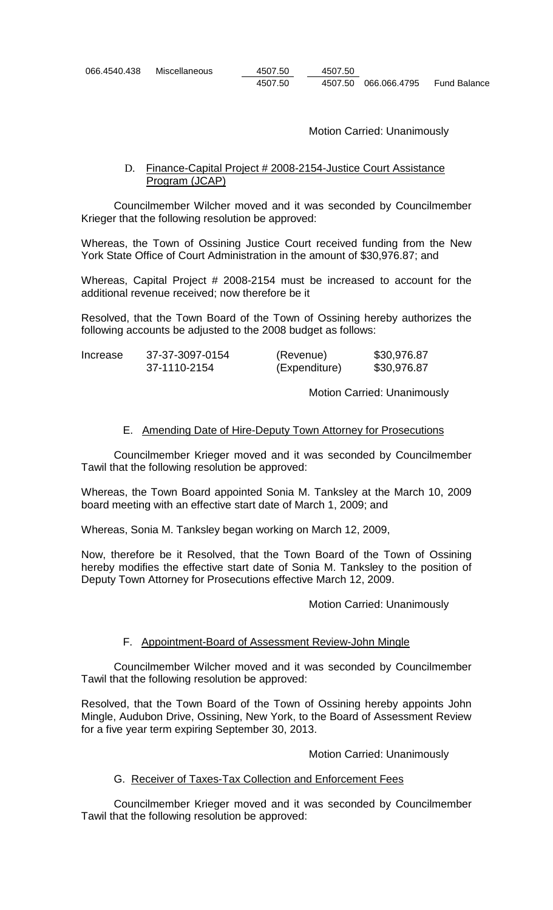| 066.4540.438 | Miscellaneous | 4507.50 | 4507.50 |                      |              |
|--------------|---------------|---------|---------|----------------------|--------------|
|              |               | 4507.50 |         | 4507.50 066.066.4795 | Fund Balance |

Motion Carried: Unanimously

# D. Finance-Capital Project # 2008-2154-Justice Court Assistance Program (JCAP)

Councilmember Wilcher moved and it was seconded by Councilmember Krieger that the following resolution be approved:

Whereas, the Town of Ossining Justice Court received funding from the New York State Office of Court Administration in the amount of \$30,976.87; and

Whereas, Capital Project # 2008-2154 must be increased to account for the additional revenue received; now therefore be it

Resolved, that the Town Board of the Town of Ossining hereby authorizes the following accounts be adjusted to the 2008 budget as follows:

| Increase | 37-37-3097-0154 | (Revenue)     | \$30,976.87 |
|----------|-----------------|---------------|-------------|
|          | 37-1110-2154    | (Expenditure) | \$30,976.87 |

Motion Carried: Unanimously

### E. Amending Date of Hire-Deputy Town Attorney for Prosecutions

Councilmember Krieger moved and it was seconded by Councilmember Tawil that the following resolution be approved:

Whereas, the Town Board appointed Sonia M. Tanksley at the March 10, 2009 board meeting with an effective start date of March 1, 2009; and

Whereas, Sonia M. Tanksley began working on March 12, 2009,

Now, therefore be it Resolved, that the Town Board of the Town of Ossining hereby modifies the effective start date of Sonia M. Tanksley to the position of Deputy Town Attorney for Prosecutions effective March 12, 2009.

Motion Carried: Unanimously

### F. Appointment-Board of Assessment Review-John Mingle

Councilmember Wilcher moved and it was seconded by Councilmember Tawil that the following resolution be approved:

Resolved, that the Town Board of the Town of Ossining hereby appoints John Mingle, Audubon Drive, Ossining, New York, to the Board of Assessment Review for a five year term expiring September 30, 2013.

Motion Carried: Unanimously

## G. Receiver of Taxes-Tax Collection and Enforcement Fees

Councilmember Krieger moved and it was seconded by Councilmember Tawil that the following resolution be approved: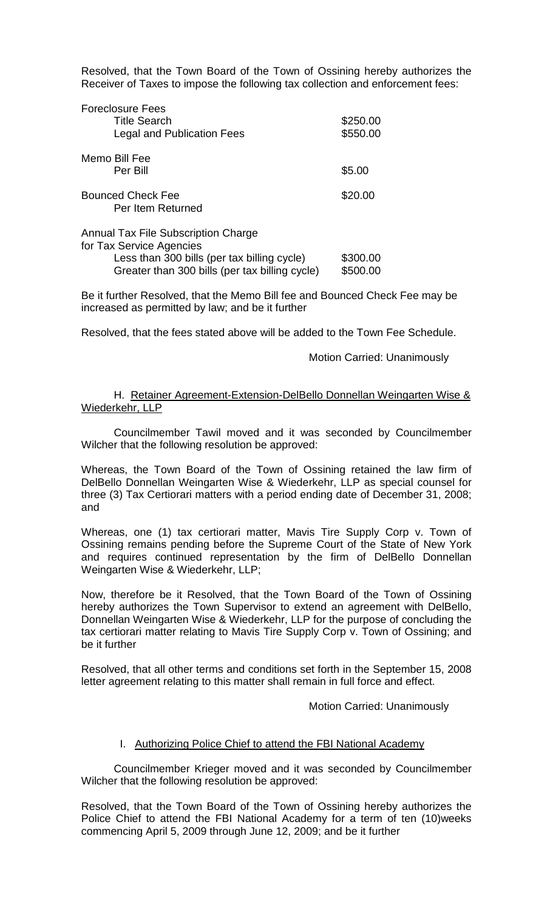Resolved, that the Town Board of the Town of Ossining hereby authorizes the Receiver of Taxes to impose the following tax collection and enforcement fees:

| <b>Foreclosure Fees</b><br><b>Title Search</b><br><b>Legal and Publication Fees</b>                                                                                     | \$250.00<br>\$550.00 |
|-------------------------------------------------------------------------------------------------------------------------------------------------------------------------|----------------------|
| Memo Bill Fee<br>Per Bill                                                                                                                                               | \$5.00               |
| <b>Bounced Check Fee</b><br>Per Item Returned                                                                                                                           | \$20.00              |
| <b>Annual Tax File Subscription Charge</b><br>for Tax Service Agencies<br>Less than 300 bills (per tax billing cycle)<br>Greater than 300 bills (per tax billing cycle) | \$300.00<br>\$500.00 |

Be it further Resolved, that the Memo Bill fee and Bounced Check Fee may be increased as permitted by law; and be it further

Resolved, that the fees stated above will be added to the Town Fee Schedule.

Motion Carried: Unanimously

H. Retainer Agreement-Extension-DelBello Donnellan Weingarten Wise & Wiederkehr, LLP

Councilmember Tawil moved and it was seconded by Councilmember Wilcher that the following resolution be approved:

Whereas, the Town Board of the Town of Ossining retained the law firm of DelBello Donnellan Weingarten Wise & Wiederkehr, LLP as special counsel for three (3) Tax Certiorari matters with a period ending date of December 31, 2008; and

Whereas, one (1) tax certiorari matter, Mavis Tire Supply Corp v. Town of Ossining remains pending before the Supreme Court of the State of New York and requires continued representation by the firm of DelBello Donnellan Weingarten Wise & Wiederkehr, LLP;

Now, therefore be it Resolved, that the Town Board of the Town of Ossining hereby authorizes the Town Supervisor to extend an agreement with DelBello, Donnellan Weingarten Wise & Wiederkehr, LLP for the purpose of concluding the tax certiorari matter relating to Mavis Tire Supply Corp v. Town of Ossining; and be it further

Resolved, that all other terms and conditions set forth in the September 15, 2008 letter agreement relating to this matter shall remain in full force and effect.

Motion Carried: Unanimously

## I. Authorizing Police Chief to attend the FBI National Academy

Councilmember Krieger moved and it was seconded by Councilmember Wilcher that the following resolution be approved:

Resolved, that the Town Board of the Town of Ossining hereby authorizes the Police Chief to attend the FBI National Academy for a term of ten (10)weeks commencing April 5, 2009 through June 12, 2009; and be it further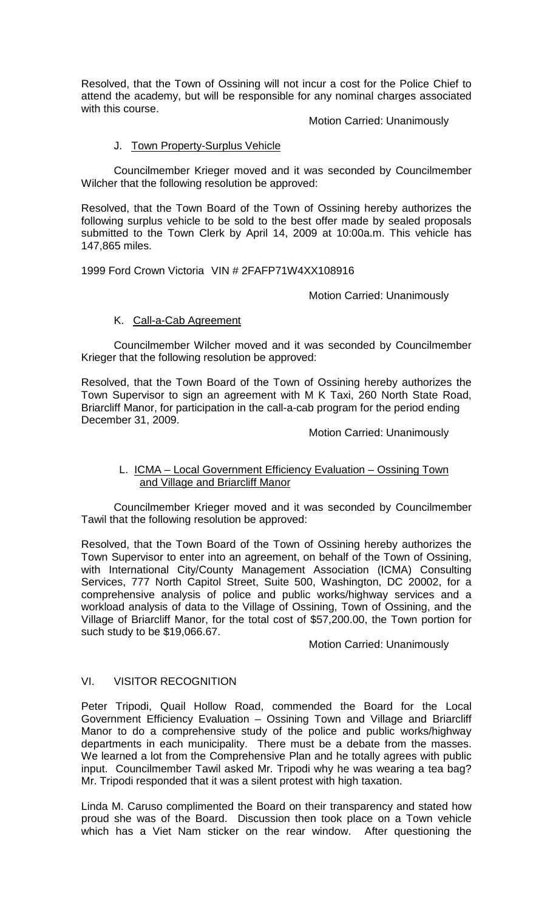Resolved, that the Town of Ossining will not incur a cost for the Police Chief to attend the academy, but will be responsible for any nominal charges associated with this course.

Motion Carried: Unanimously

# J. Town Property-Surplus Vehicle

Councilmember Krieger moved and it was seconded by Councilmember Wilcher that the following resolution be approved:

Resolved, that the Town Board of the Town of Ossining hereby authorizes the following surplus vehicle to be sold to the best offer made by sealed proposals submitted to the Town Clerk by April 14, 2009 at 10:00a.m. This vehicle has 147,865 miles.

1999 Ford Crown Victoria VIN # 2FAFP71W4XX108916

Motion Carried: Unanimously

# K. Call-a-Cab Agreement

Councilmember Wilcher moved and it was seconded by Councilmember Krieger that the following resolution be approved:

Resolved, that the Town Board of the Town of Ossining hereby authorizes the Town Supervisor to sign an agreement with M K Taxi, 260 North State Road, Briarcliff Manor, for participation in the call-a-cab program for the period ending December 31, 2009.

Motion Carried: Unanimously

# L. ICMA – Local Government Efficiency Evaluation – Ossining Town and Village and Briarcliff Manor

Councilmember Krieger moved and it was seconded by Councilmember Tawil that the following resolution be approved:

Resolved, that the Town Board of the Town of Ossining hereby authorizes the Town Supervisor to enter into an agreement, on behalf of the Town of Ossining, with International City/County Management Association (ICMA) Consulting Services, 777 North Capitol Street, Suite 500, Washington, DC 20002, for a comprehensive analysis of police and public works/highway services and a workload analysis of data to the Village of Ossining, Town of Ossining, and the Village of Briarcliff Manor, for the total cost of \$57,200.00, the Town portion for such study to be \$19,066.67.

Motion Carried: Unanimously

# VI. VISITOR RECOGNITION

Peter Tripodi, Quail Hollow Road, commended the Board for the Local Government Efficiency Evaluation – Ossining Town and Village and Briarcliff Manor to do a comprehensive study of the police and public works/highway departments in each municipality. There must be a debate from the masses. We learned a lot from the Comprehensive Plan and he totally agrees with public input. Councilmember Tawil asked Mr. Tripodi why he was wearing a tea bag? Mr. Tripodi responded that it was a silent protest with high taxation.

Linda M. Caruso complimented the Board on their transparency and stated how proud she was of the Board. Discussion then took place on a Town vehicle which has a Viet Nam sticker on the rear window. After questioning the